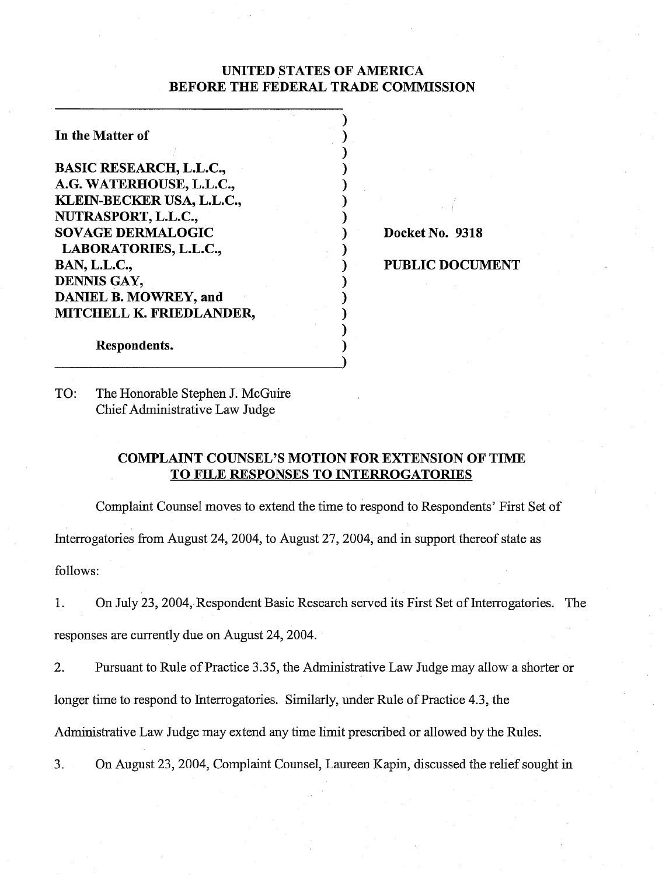# UNITED STATES OF AMERICA BEFORE THE FEDERAL TRADE COMMISSION

 $\mathbf{)}$ 

| In the Matter of                |  |
|---------------------------------|--|
| <b>BASIC RESEARCH, L.L.C.,</b>  |  |
| A.G. WATERHOUSE, L.L.C.,        |  |
| KLEIN-BECKER USA, L.L.C.,       |  |
| NUTRASPORT, L.L.C.,             |  |
| <b>SOVAGE DERMALOGIC</b>        |  |
| <b>LABORATORIES, L.L.C.,</b>    |  |
| <b>BAN, L.L.C.,</b>             |  |
| DENNIS GAY,                     |  |
| <b>DANIEL B. MOWREY, and</b>    |  |
| <b>MITCHELL K. FRIEDLANDER,</b> |  |
|                                 |  |

Docket No. 9318

PUBLIC DOCUMENT

Respondents.

TO: The Honorable Stephen J. McGuire Chief Administrative Law Judge

# COMPLAINT COUNSEL'S MOTION FOR EXTENSION OF TIME TO FILE RESPONSES TO INTERROGATORIES

Complaint Counsel moves to extend the time to respond to Respondents' First Set of Interrogatories fiom August 24,2004, to August 27,2004, and in support thereof state as follows:

1. On July 23,2004, Respondent Basic Research served its First Set of Interrogatories. The responses are currently due on August 24,2004.

2. Pursuant to Rule of Practice 3.35, the Administrative Law Judge may allow a shorter or longer time to respond to Interrogatories. Similarly, under Rule of Practice 4.3, the

Administrative Law Judge may extend any time limit prescribed or allowed by the Rules.

3. On August 23,2004, Complaint Counsel, Laureen Kapin, discussed the relief sought in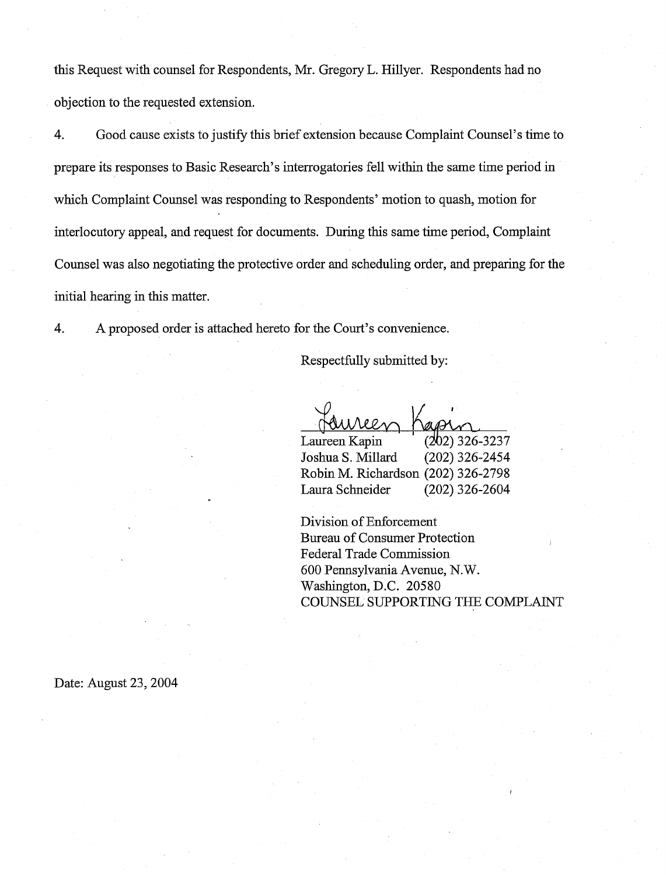this Request with counsel for Respondents, Mr. Gregory L. Hillyer. Respondents had no objection to the requested extension.

4. Good cause exists to justify this brief extension because Complaint Counsel's time to prepare its responses to Basic Research's interrogatories fell within the same time period in which Complaint Counsel was responding to Respondents' motion to quash, motion for interlocutory appeal, and request for documents. During this same time period, Complaint Counsel was also negotiating the protective order and scheduling order, and preparing for the initial hearing in this matter.

4. A proposed order is attached hereto for the Court's convenience.

Respectfully submitted by:

**1**  Laureen Kapin (202) 326-3237<br>Joshua S. Millard (202) 326-2454 Joshua S. Millard Robin M. Richardson (202) 326-2798 Laura Schneider (202) 326-2604

Division of Enforcement Bureau of Consumer Protection , Federal Trade Commission 600 Pennsylvania Avenue, N. W. Washington, D.C. 20580 COUNSEL SUPPORTING THE COMPLAINT

Date: August 23, 2004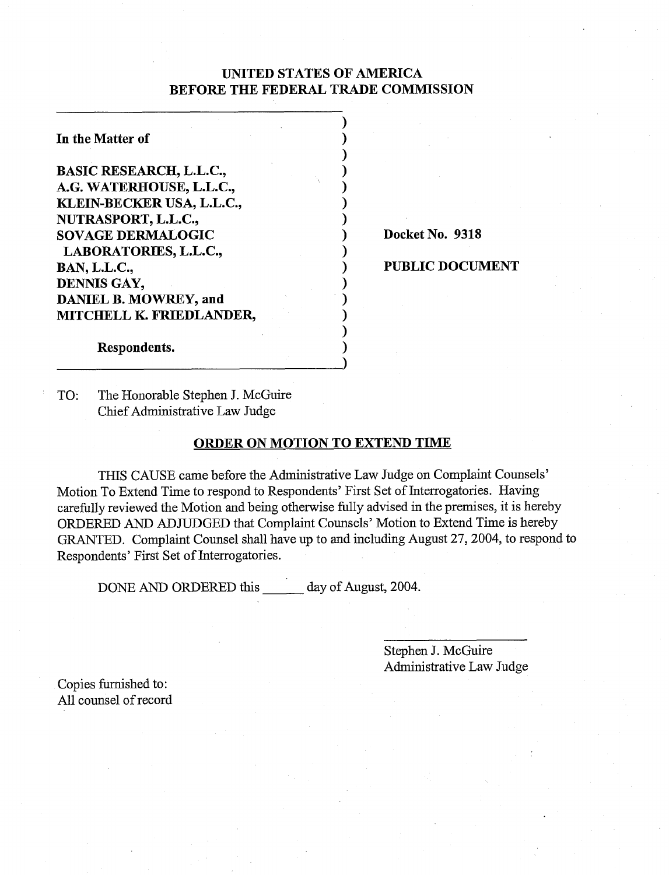# **UNITED STATES OF AMERICA BEFORE THE FEDERAL TRADE COMMISSION**

 $\sum_{i=1}^n$  $\sum_{i=1}^{n}$  $\sum_{i=1}^{n}$  $\sum_{i=1}^n$  $\big)$  $\sum_{i=1}^{n}$  $\sum_{i=1}^{n}$ 

 $\mathbf{)}$ 

 $\mathbf{)}$ 

 $\mathbf{)}$ 

**In the Matter of BASIC RESEARCH, L.L.C., A.G. WATERHOUSE, L.L.C., KLEIN-BECKER USA, L.L.C., NUTRASPORT, L.L.C., SOVAGE DERMALOGIC LABORATORIES, L.L.C., BAN, L.L.C., DENNIS GAY, DANIEL B. MOWREY, and MITCHELL K. FRIEDLANDER,** 

1 **Docket No. 9318** 

1 **PUBLIC DOCUMENT** 

**Respondents.** 

TO: The Honorable Stephen J. McGuire Chief Administrative Law Judge

### **ORDER ON MOTION TO EXTEND TIME**

THIS CAUSE came before the Administrative Law Judge on Complaint Counsels' Motion To Extend Time to respond to Respondents' First Set of Interrogatories. Having carefully reviewed the Motion and being otherwise fully advised in the premises, it is hereby ORDERED AND ADJUDGED that Complaint Counsels' Motion to Extend Time is hereby GRANTED. Complaint Counsel shall have up to and including August 27,2004, to respond to Respondents' First Set of Interrogatories.

DONE AND ORDERED this day of August, 2004.

Stephen J. McGuire Administrative Law Judge

Copies furnished to: All counsel of record